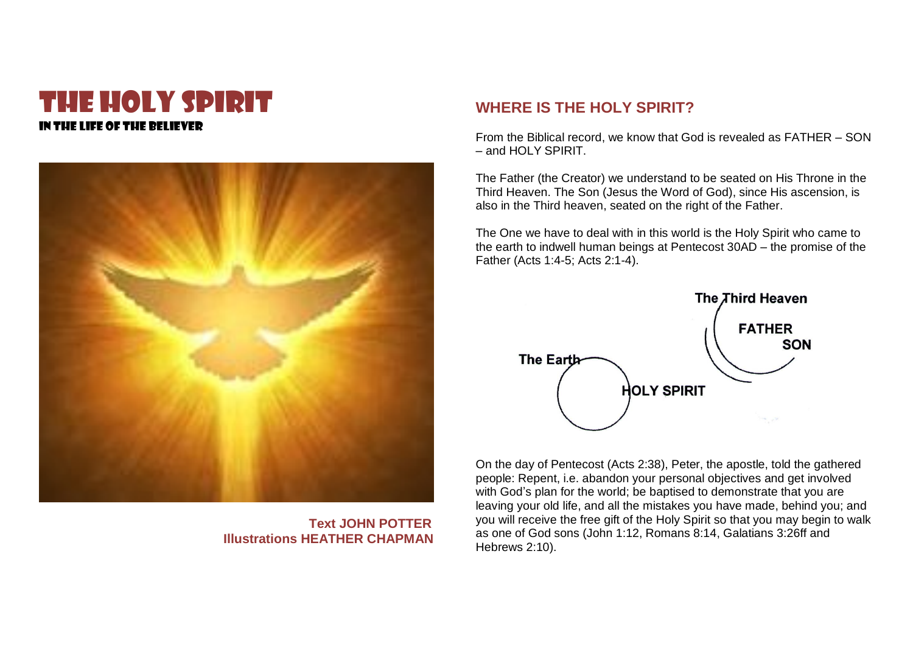# THE HOLY SPIRIT in the life of the believer



 **Text JOHN POTTER Illustrations HEATHER CHAPMAN**

## **WHERE IS THE HOLY SPIRIT?**

From the Biblical record, we know that God is revealed as FATHER – SON – and HOLY SPIRIT.

The Father (the Creator) we understand to be seated on His Throne in the Third Heaven. The Son (Jesus the Word of God), since His ascension, is also in the Third heaven, seated on the right of the Father.

The One we have to deal with in this world is the Holy Spirit who came to the earth to indwell human beings at Pentecost 30AD – the promise of the Father (Acts 1:4-5; Acts 2:1-4).



On the day of Pentecost (Acts 2:38), Peter, the apostle, told the gathered people: Repent, i.e. abandon your personal objectives and get involved with God's plan for the world; be baptised to demonstrate that you are leaving your old life, and all the mistakes you have made, behind you; and you will receive the free gift of the Holy Spirit so that you may begin to walk as one of God sons (John 1:12, Romans 8:14, Galatians 3:26ff and Hebrews 2:10).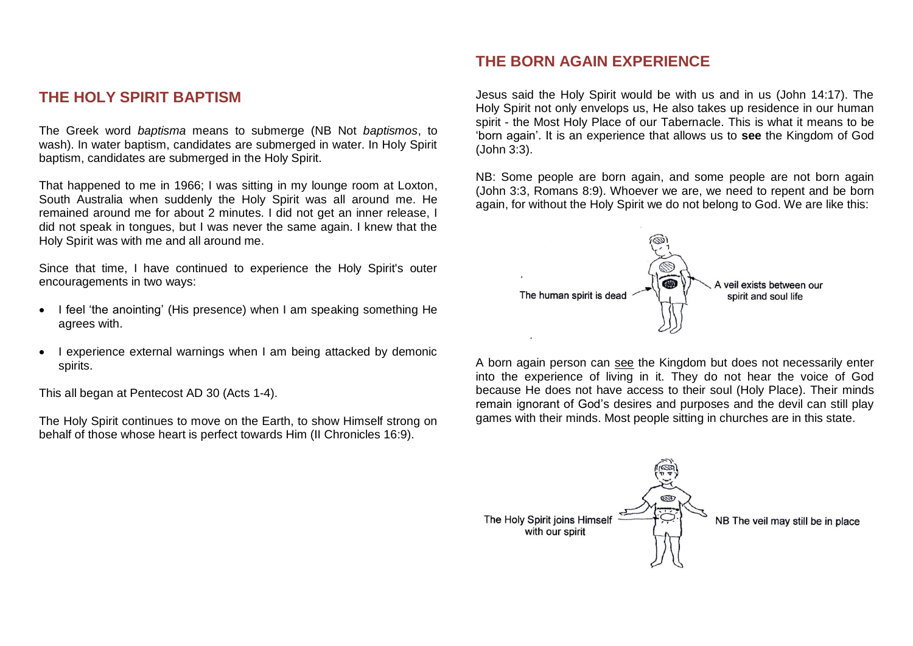## **THE HOLY SPIRIT BAPTISM**

The Greek word *baptisma* means to submerge (NB Not *baptismos*, to wash). In water baptism, candidates are submerged in water. In Holy Spirit baptism, candidates are submerged in the Holy Spirit.

That happened to me in 1966; I was sitting in my lounge room at Loxton, South Australia when suddenly the Holy Spirit was all around me. He remained around me for about 2 minutes. I did not get an inner release, I did not speak in tongues, but I was never the same again. I knew that the Holy Spirit was with me and all around me.

Since that time, I have continued to experience the Holy Spirit's outer encouragements in two ways:

- I feel 'the anointing' (His presence) when I am speaking something He agrees with.
- I experience external warnings when I am being attacked by demonic spirits.

This all began at Pentecost AD 30 (Acts 1-4).

The Holy Spirit continues to move on the Earth, to show Himself strong on behalf of those whose heart is perfect towards Him (II Chronicles 16:9).

## **THE BORN AGAIN EXPERIENCE**

Jesus said the Holy Spirit would be with us and in us (John 14:17). The Holy Spirit not only envelops us, He also takes up residence in our human spirit - the Most Holy Place of our Tabernacle. This is what it means to be 'born again'. It is an experience that allows us to **see** the Kingdom of God (John 3:3).

NB: Some people are born again, and some people are not born again (John 3:3, Romans 8:9). Whoever we are, we need to repent and be born again, for without the Holy Spirit we do not belong to God. We are like this:



A born again person can see the Kingdom but does not necessarily enter into the experience of living in it. They do not hear the voice of God because He does not have access to their soul (Holy Place). Their minds remain ignorant of God's desires and purposes and the devil can still play games with their minds. Most people sitting in churches are in this state.

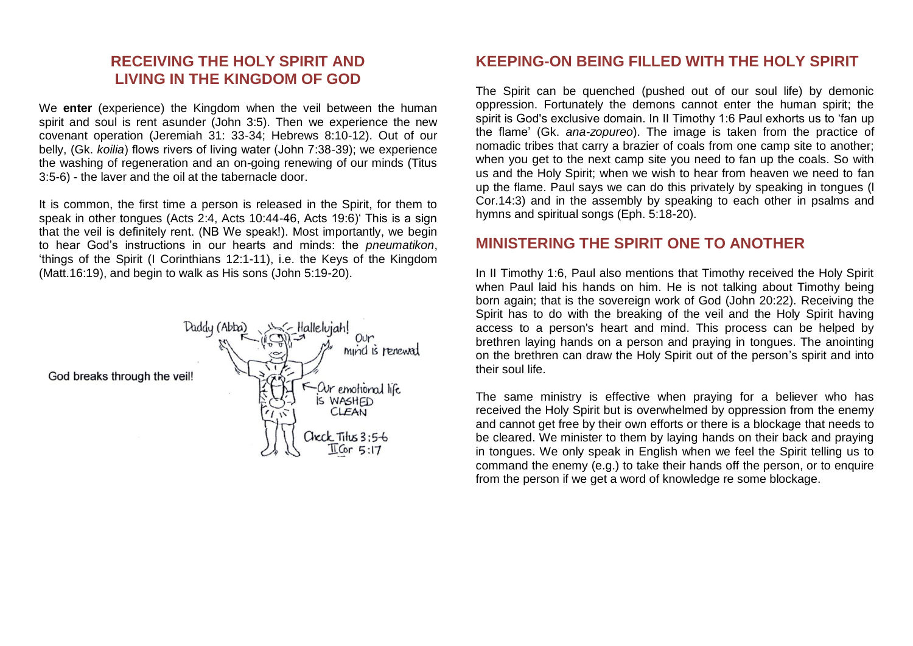# **RECEIVING THE HOLY SPIRIT AND LIVING IN THE KINGDOM OF GOD**

We **enter** (experience) the Kingdom when the veil between the human spirit and soul is rent asunder (John 3:5). Then we experience the new covenant operation (Jeremiah 31: 33-34; Hebrews 8:10-12). Out of our belly, (Gk. *koilia*) flows rivers of living water (John 7:38-39); we experience the washing of regeneration and an on-going renewing of our minds (Titus 3:5-6) - the laver and the oil at the tabernacle door.

It is common, the first time a person is released in the Spirit, for them to speak in other tongues (Acts 2:4, Acts 10:44-46, Acts 19:6)' This is a sign that the veil is definitely rent. (NB We speak!). Most importantly, we begin to hear God's instructions in our hearts and minds: the *pneumatikon*, 'things of the Spirit (I Corinthians 12:1-11), i.e. the Keys of the Kingdom (Matt.16:19), and begin to walk as His sons (John 5:19-20).



#### **KEEPING-ON BEING FILLED WITH THE HOLY SPIRIT**

The Spirit can be quenched (pushed out of our soul life) by demonic oppression. Fortunately the demons cannot enter the human spirit; the spirit is God's exclusive domain. In II Timothy 1:6 Paul exhorts us to 'fan up the flame' (Gk. *ana-zopureo*). The image is taken from the practice of nomadic tribes that carry a brazier of coals from one camp site to another; when you get to the next camp site you need to fan up the coals. So with us and the Holy Spirit; when we wish to hear from heaven we need to fan up the flame. Paul says we can do this privately by speaking in tongues (l Cor.14:3) and in the assembly by speaking to each other in psalms and hymns and spiritual songs (Eph. 5:18-20).

#### **MINISTERING THE SPIRIT ONE TO ANOTHER**

In II Timothy 1:6, Paul also mentions that Timothy received the Holy Spirit when Paul laid his hands on him. He is not talking about Timothy being born again; that is the sovereign work of God (John 20:22). Receiving the Spirit has to do with the breaking of the veil and the Holy Spirit having access to a person's heart and mind. This process can be helped by brethren laying hands on a person and praying in tongues. The anointing on the brethren can draw the Holy Spirit out of the person's spirit and into their soul life.

The same ministry is effective when praying for a believer who has received the Holy Spirit but is overwhelmed by oppression from the enemy and cannot get free by their own efforts or there is a blockage that needs to be cleared. We minister to them by laying hands on their back and praying in tongues. We only speak in English when we feel the Spirit telling us to command the enemy (e.g.) to take their hands off the person, or to enquire from the person if we get a word of knowledge re some blockage.